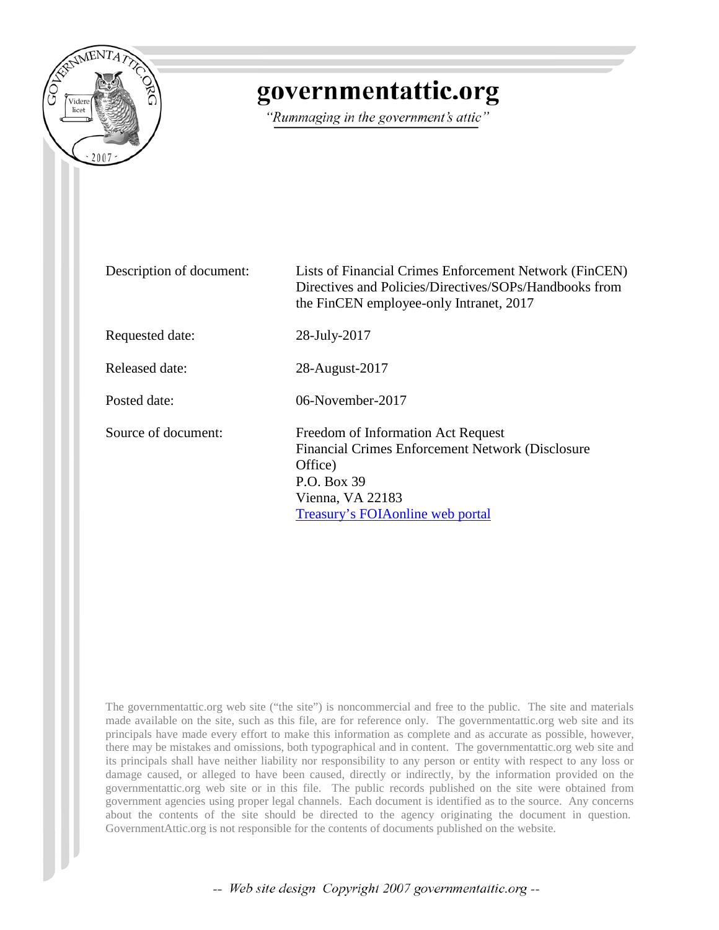

## governmentattic.org

"Rummaging in the government's attic"

| Description of document: | Lists of Financial Crimes Enforcement Network (FinCEN)<br>Directives and Policies/Directives/SOPs/Handbooks from<br>the FinCEN employee-only Intranet, 2017               |
|--------------------------|---------------------------------------------------------------------------------------------------------------------------------------------------------------------------|
| Requested date:          | 28-July-2017                                                                                                                                                              |
| Released date:           | 28-August-2017                                                                                                                                                            |
| Posted date:             | $06$ -November-2017                                                                                                                                                       |
| Source of document:      | Freedom of Information Act Request<br>Financial Crimes Enforcement Network (Disclosure<br>Office)<br>P.O. Box 39<br>Vienna, VA 22183<br>Treasury's FOIA online web portal |

The governmentattic.org web site ("the site") is noncommercial and free to the public. The site and materials made available on the site, such as this file, are for reference only. The governmentattic.org web site and its principals have made every effort to make this information as complete and as accurate as possible, however, there may be mistakes and omissions, both typographical and in content. The governmentattic.org web site and its principals shall have neither liability nor responsibility to any person or entity with respect to any loss or damage caused, or alleged to have been caused, directly or indirectly, by the information provided on the governmentattic.org web site or in this file. The public records published on the site were obtained from government agencies using proper legal channels. Each document is identified as to the source. Any concerns about the contents of the site should be directed to the agency originating the document in question. GovernmentAttic.org is not responsible for the contents of documents published on the website.

-- Web site design Copyright 2007 governmentattic.org --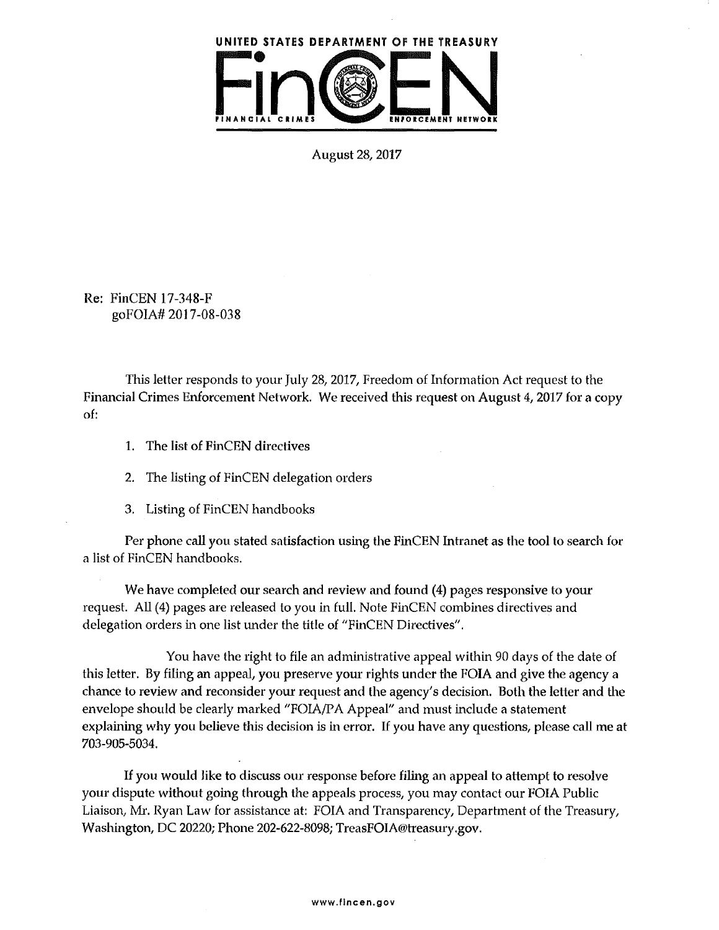

August 28, 2017

Re: FinCEN 17-348-F goFOIA# 2017-08-038

This letter responds to your July 28, 2017, Freedom of Information Act request to the Financial Crimes Enforcement Network. We received this request on August 4, 2017 for a copy of:

- 1. The list of FinCEN directives
- 2. The listing of FinCEN delegation orders
- 3. Listing of FinCEN handbooks

Per phone call you stated satisfaction using the FinCEN Intranet as the tool to search for a list of FinCEN handbooks.

We have completed our search and review and found (4) pages responsive to your request. All (4) pages are released to you in full. Note FinCEN combines directives and delegation orders in one list under the title of "FinCEN Directives".

You have the right to file an administrative appeal within 90 days of the date of this letter. By filing an appeal, you preserve your rights under the FOIA and give the agency a chance to review and reconsider your request and the agency's decision. Both the letter and the envelope should be clearly marked "FOIA/PA Appeal" and must include a statement explaining why you believe this decision is in error. If you have any questions, please call me at 703-905-5034.

If you would like to discuss our response before filing an appeal to attempt to resolve your dispute without going through the appeals process, you may contact our FOIA Public Liaison, Mr. Ryan Law for assistance at: FOIA and Transparency, Department of the Treasury, Washington, DC 20220; Phone 202-622-8098; TreasFOIA@treasury.gov.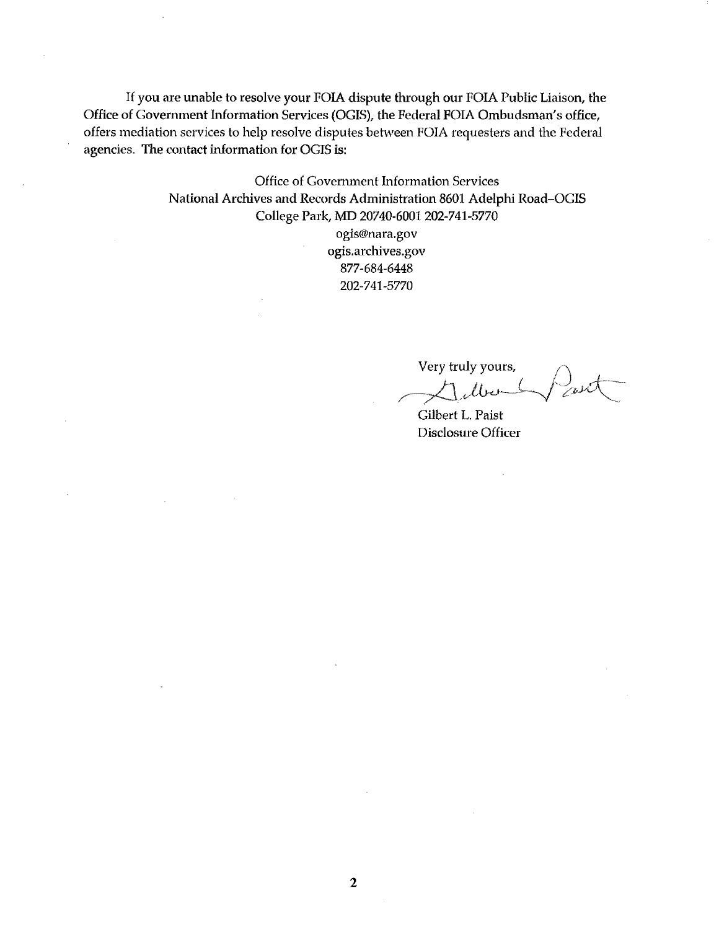If you are unable to resolve your FOIA dispute through our FOIA Public Liaison, the Office of Government Information Services {OGIS), the Federal FOIA Ombudsman's office, offers mediation services to help resolve disputes between FOIA requesters and the Federal agencies. The contact information for OGIS is:

> Office of Government Information Services National Archives and Records Administration 8601 Adelphi Road-OGIS College Park, MD 20740-6001 202-741-5770 ogis@nara.gov ogis.archives.gov 877-684-6448 202-741-5770

Very truly yours,  $\frac{1}{\sqrt{2\pi}}$ 

Gilbert L. Paist Disclosure Officer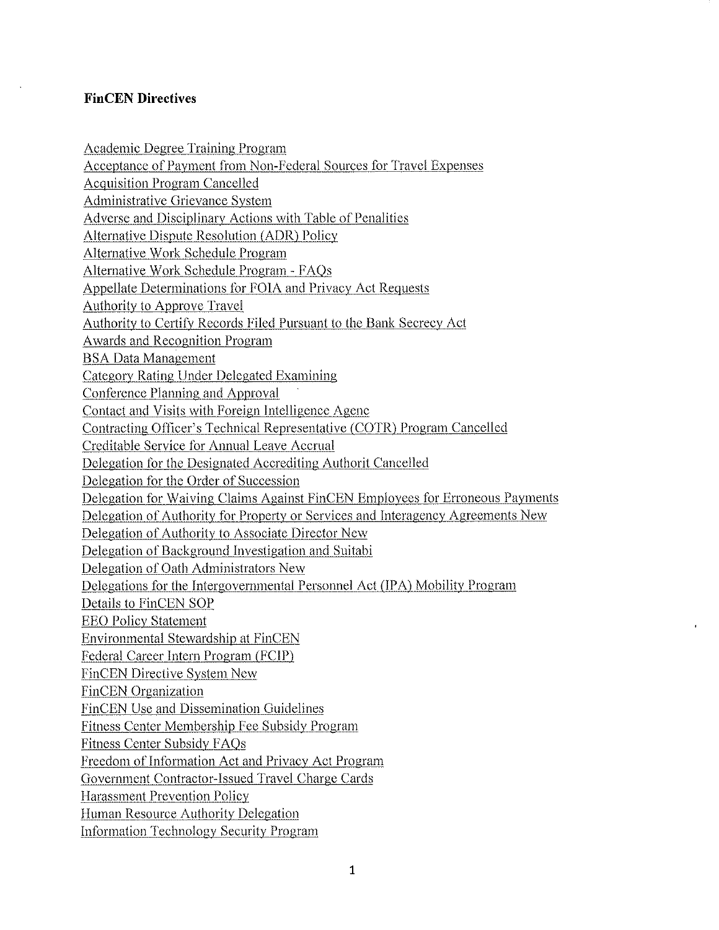## **FinCEN Directives**

Academic Degree Training Program Acceptance of Payment from Non-Federal Sources for Travel Expenses Acquisition Program Cancelled Administrative Grievance System Adverse and Disciplinary Actions with Table of Penalities Alternative Dispute Resolution (ADR) Policy Alternative Work Schedule Program Alternative Work Schedule Program - FAQs Appellate Determinations for FOIA and Privacy Act Requests Authority to Approve Travel Authority to Certify Records Filed Pursuant to the Bank Secrecy Act Awards and Recognition Program BSA Data Management Category Rating Under Delegated Examining Conference Planning and Approval Contact and Visits with Foreign Intelligence Agenc Contracting Officer's Technical Representative (COTR) Program Cancelled Creditable Service for Annual Leave Accrual Delegation for the Designated Accrediting Authorit Cancelled Delegation for the Order of Succession Delegation for Waiving Claims Against FinCEN Employees for Erroneous Payments Delegation of Authority for Property or Services and lnteragency Agreements New Delegation of Authority to Associate Director New Delegation of Background Investigation and Suitabi Delegation of Oath Administrators New Delegations for the Intergovernmental Personnel Act (IPA) Mobility Program Details to FinCEN SOP EEO Policy Statement Environmental Stewardship at FinCEN Federal Career Intern Program (FCJP) FinCEN Directive System New FinCEN Organization FinCEN Use and Dissemination Guidelines Fitness Center Membership Fee Subsidy Progran1 Fitness Center Subsidy FAQs Freedom of Information Act and Privacy Act Program Government Contractor-Issued Travel Charge Cards Harassment Prevention Policy Human Resource Authority Delegation Information Technologv Security Program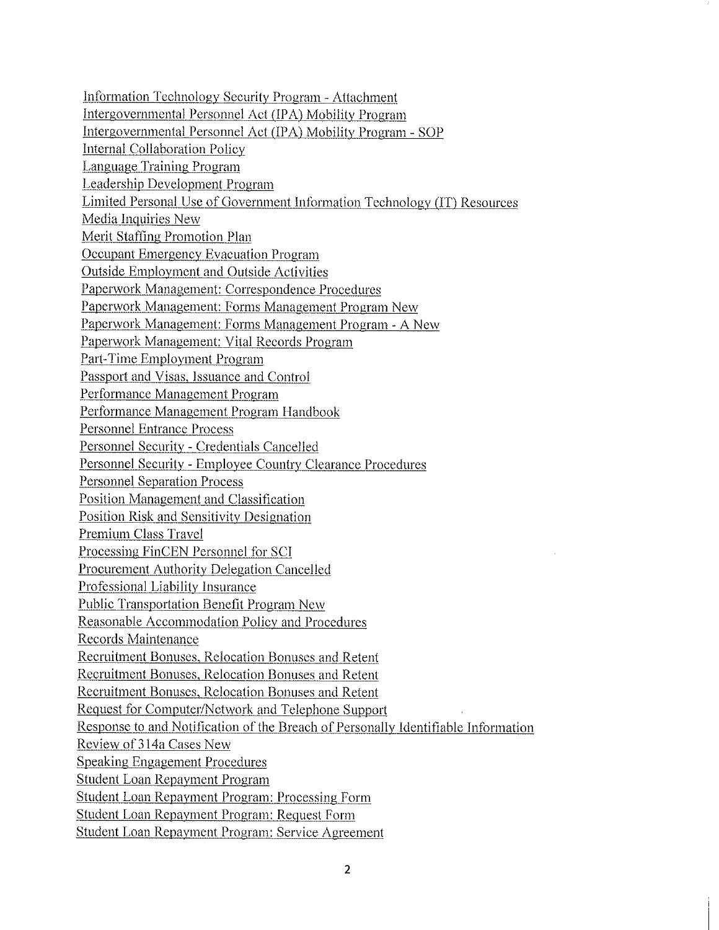Information Technology Security Program - Attachment Intergovernmental Personnel Act /IPA) Mobility Program Intergovernmental Personnel Act {IPA) Mobility Program - SOP Internal Collaboration Policy Language Training Program Leadership Development Program Limited Personal Use of Government Information Technology (IT) Resources Media Inquiries New Merit Staffing Promotion Plan Occupant Emergency Evacuation Program Outside Employment and Outside Activities Paperwork Management: Correspondence Procedures Paperwork Management: Forms Management Program New Paperwork Management: Forms Management Program - A New Paperwork Management: Vital Records Program Part-Time Employment Program Passport and Visas, Issuance and Control Performance Management Program Performance Management Program Handbook Personnel Entrance Process Personnel Security - Credentials Cancelled Personnel Security - Employee Country Clearance Procedures Personnel Separation Process Position Management and Classification Position Risk and Sensitivity Designation Premium Class Travel Processing FinCEN Personnel for SCI Procurement Authority Delegation Cancelled Professional Liability Insurance Public Transportation Benefit Program New Reasonable Accommodation Policy and Procedures Records Maintenance Recruitment Bonuses, Relocation Bonuses and Retent Recruitment Bonuses, Relocation Bonuses and Retent Recruitment Bonuses, Relocation Bonuses and Retent Request for Computer/Network and Telephone Support Response to and Notification of the Breach of Personally Identifiable Information Review of 314a Cases New Speaking Engagement Procedures Student Loan Repayment Program Student Loan Repayment Program: Processing Form Student Loan Repayment Program: Request Form Student Loan Repayment Program: Service Agreement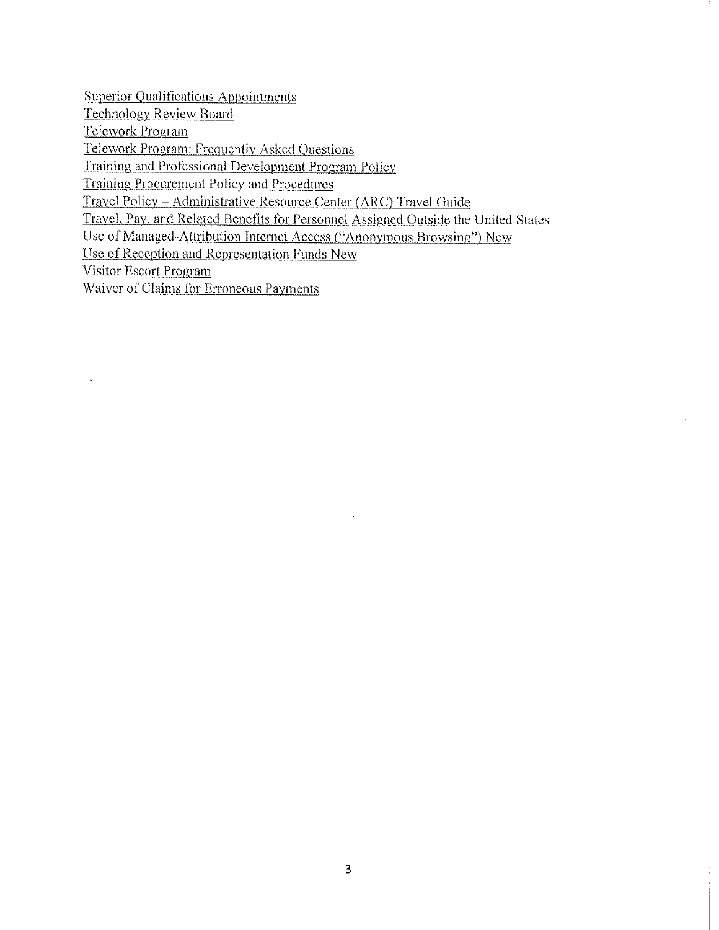Superior Qualifications Appointments

Technology Review Board

Telework Program

Telework Program: Frequently Asked Questions

Training and Professional Development Program Policy

Training Procurement Policy and Procedures

Travel Policy ~ Administrative Resource Center (ARC) Travel Guide

Travel, Pay, and Related Benefits for Personnel Assigned Outside the United States

Use of Managed-Attribution Internet Access ("Anonymous Browsing") New

Use of Reception and Representation Funds New

Visitor Escort Program

 $\sim$ 

Waiver of Claims for Erroneous Payments

 $\mathcal{L}_{\mathcal{A}}$